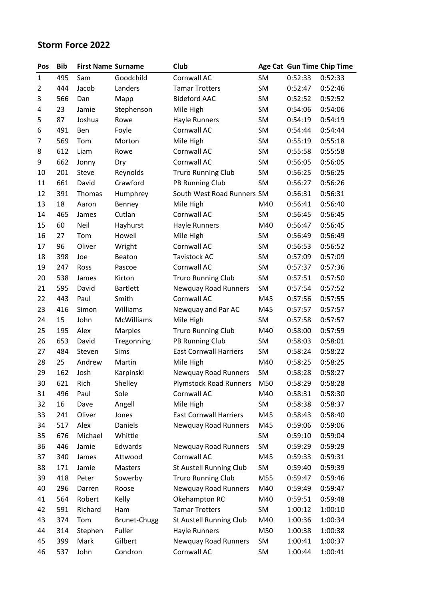## **Storm Force 2022**

| Pos            | <b>Bib</b> | <b>First Name Surname</b> |                     | Club                          |           |         | Age Cat Gun Time Chip Time |
|----------------|------------|---------------------------|---------------------|-------------------------------|-----------|---------|----------------------------|
| $\mathbf{1}$   | 495        | Sam                       | Goodchild           | Cornwall AC                   | SM        | 0:52:33 | 0:52:33                    |
| $\overline{2}$ | 444        | Jacob                     | Landers             | <b>Tamar Trotters</b>         | <b>SM</b> | 0:52:47 | 0:52:46                    |
| 3              | 566        | Dan                       | Mapp                | <b>Bideford AAC</b>           | <b>SM</b> | 0:52:52 | 0:52:52                    |
| 4              | 23         | Jamie                     | Stephenson          | Mile High                     | <b>SM</b> | 0:54:06 | 0:54:06                    |
| 5              | 87         | Joshua                    | Rowe                | Hayle Runners                 | SM        | 0:54:19 | 0:54:19                    |
| 6              | 491        | Ben                       | Foyle               | Cornwall AC                   | SM        | 0:54:44 | 0:54:44                    |
| 7              | 569        | Tom                       | Morton              | Mile High                     | SM        | 0:55:19 | 0:55:18                    |
| 8              | 612        | Liam                      | Rowe                | Cornwall AC                   | <b>SM</b> | 0:55:58 | 0:55:58                    |
| 9              | 662        | Jonny                     | Dry                 | Cornwall AC                   | SM        | 0:56:05 | 0:56:05                    |
| 10             | 201        | Steve                     | Reynolds            | <b>Truro Running Club</b>     | SM        | 0:56:25 | 0:56:25                    |
| 11             | 661        | David                     | Crawford            | PB Running Club               | SM        | 0:56:27 | 0:56:26                    |
| 12             | 391        | Thomas                    | Humphrey            | South West Road Runners SM    |           | 0:56:31 | 0:56:31                    |
| 13             | 18         | Aaron                     | Benney              | Mile High                     | M40       | 0:56:41 | 0:56:40                    |
| 14             | 465        | James                     | Cutlan              | Cornwall AC                   | <b>SM</b> | 0:56:45 | 0:56:45                    |
| 15             | 60         | Neil                      | Hayhurst            | <b>Hayle Runners</b>          | M40       | 0:56:47 | 0:56:45                    |
| 16             | 27         | Tom                       | Howell              | Mile High                     | SM        | 0:56:49 | 0:56:49                    |
| 17             | 96         | Oliver                    | Wright              | Cornwall AC                   | SM        | 0:56:53 | 0:56:52                    |
| 18             | 398        | Joe                       | Beaton              | <b>Tavistock AC</b>           | <b>SM</b> | 0:57:09 | 0:57:09                    |
| 19             | 247        | Ross                      | Pascoe              | Cornwall AC                   | <b>SM</b> | 0:57:37 | 0:57:36                    |
| 20             | 538        | James                     | Kirton              | <b>Truro Running Club</b>     | <b>SM</b> | 0:57:51 | 0:57:50                    |
| 21             | 595        | David                     | <b>Bartlett</b>     | <b>Newquay Road Runners</b>   | <b>SM</b> | 0:57:54 | 0:57:52                    |
| 22             | 443        | Paul                      | Smith               | Cornwall AC                   | M45       | 0:57:56 | 0:57:55                    |
| 23             | 416        | Simon                     | Williams            | Newquay and Par AC            | M45       | 0:57:57 | 0:57:57                    |
| 24             | 15         | John                      | McWilliams          | Mile High                     | SM        | 0:57:58 | 0:57:57                    |
| 25             | 195        | Alex                      | Marples             | <b>Truro Running Club</b>     | M40       | 0:58:00 | 0:57:59                    |
| 26             | 653        | David                     | Tregonning          | PB Running Club               | SM        | 0:58:03 | 0:58:01                    |
| 27             | 484        | Steven                    | Sims                | <b>East Cornwall Harriers</b> | SM        | 0:58:24 | 0:58:22                    |
| 28             | 25         | Andrew                    | Martin              | Mile High                     | M40       | 0:58:25 | 0:58:25                    |
| 29             | 162        | Josh                      | Karpinski           | <b>Newquay Road Runners</b>   | SM        | 0:58:28 | 0:58:27                    |
| 30             | 621        | Rich                      | Shelley             | <b>Plymstock Road Runners</b> | M50       | 0:58:29 | 0:58:28                    |
| 31             | 496        | Paul                      | Sole                | Cornwall AC                   | M40       | 0:58:31 | 0:58:30                    |
| 32             | 16         | Dave                      | Angell              | Mile High                     | SM        | 0:58:38 | 0:58:37                    |
| 33             | 241        | Oliver                    | Jones               | <b>East Cornwall Harriers</b> | M45       | 0:58:43 | 0:58:40                    |
| 34             | 517        | Alex                      | Daniels             | Newquay Road Runners          | M45       | 0:59:06 | 0:59:06                    |
| 35             | 676        | Michael                   | Whittle             |                               | SM        | 0:59:10 | 0:59:04                    |
| 36             | 446        | Jamie                     | Edwards             | <b>Newquay Road Runners</b>   | SM        | 0:59:29 | 0:59:29                    |
| 37             | 340        | James                     | Attwood             | Cornwall AC                   | M45       | 0:59:33 | 0:59:31                    |
| 38             | 171        | Jamie                     | Masters             | St Austell Running Club       | SM        | 0:59:40 | 0:59:39                    |
| 39             | 418        | Peter                     | Sowerby             | <b>Truro Running Club</b>     | M55       | 0:59:47 | 0:59:46                    |
| 40             | 296        | Darren                    | Roose               | Newquay Road Runners          | M40       | 0:59:49 | 0:59:47                    |
| 41             | 564        | Robert                    | Kelly               | Okehampton RC                 | M40       | 0:59:51 | 0:59:48                    |
| 42             | 591        | Richard                   | Ham                 | <b>Tamar Trotters</b>         | SM        | 1:00:12 | 1:00:10                    |
| 43             | 374        | Tom                       | <b>Brunet-Chugg</b> | St Austell Running Club       | M40       | 1:00:36 | 1:00:34                    |
| 44             | 314        | Stephen                   | Fuller              | Hayle Runners                 | M50       | 1:00:38 | 1:00:38                    |
| 45             | 399        | Mark                      | Gilbert             | Newquay Road Runners          | <b>SM</b> | 1:00:41 | 1:00:37                    |
| 46             | 537        | John                      | Condron             | Cornwall AC                   | SM        | 1:00:44 | 1:00:41                    |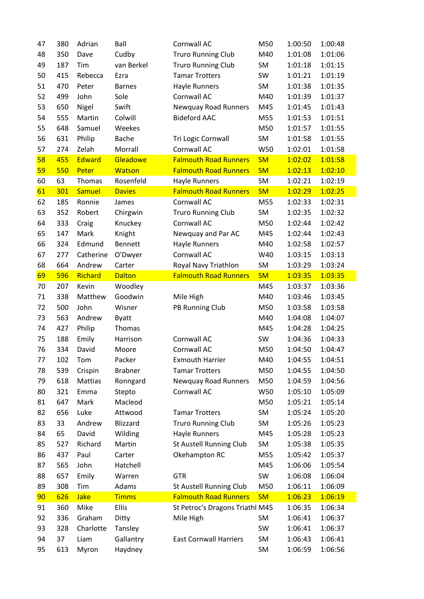| 47 | 380 | Adrian        | Ball           | Cornwall AC                     | M50       | 1:00:50 | 1:00:48 |
|----|-----|---------------|----------------|---------------------------------|-----------|---------|---------|
| 48 | 350 | Dave          | Cudby          | <b>Truro Running Club</b>       | M40       | 1:01:08 | 1:01:06 |
| 49 | 187 | Tim           | van Berkel     | <b>Truro Running Club</b>       | SM        | 1:01:18 | 1:01:15 |
| 50 | 415 | Rebecca       | Ezra           | <b>Tamar Trotters</b>           | SW        | 1:01:21 | 1:01:19 |
| 51 | 470 | Peter         | <b>Barnes</b>  | Hayle Runners                   | SM        | 1:01:38 | 1:01:35 |
| 52 | 499 | John          | Sole           | Cornwall AC                     | M40       | 1:01:39 | 1:01:37 |
| 53 | 650 | Nigel         | Swift          | Newquay Road Runners            | M45       | 1:01:45 | 1:01:43 |
| 54 | 555 | Martin        | Colwill        | <b>Bideford AAC</b>             | M55       | 1:01:53 | 1:01:51 |
| 55 | 648 | Samuel        | Weekes         |                                 | M50       | 1:01:57 | 1:01:55 |
| 56 | 631 | Philip        | <b>Bache</b>   | Tri Logic Cornwall              | SM        | 1:01:58 | 1:01:55 |
| 57 | 274 | Zelah         | Morrall        | Cornwall AC                     | W50       | 1:02:01 | 1:01:58 |
| 58 | 455 | <b>Edward</b> | Gleadowe       | <b>Falmouth Road Runners</b>    | <b>SM</b> | 1:02:02 | 1:01:58 |
| 59 | 550 | Peter         | Watson         | <b>Falmouth Road Runners</b>    | <b>SM</b> | 1:02:13 | 1:02:10 |
| 60 | 63  | Thomas        | Rosenfeld      | Hayle Runners                   | SM        | 1:02:21 | 1:02:19 |
| 61 | 301 | <b>Samuel</b> | <b>Davies</b>  | <b>Falmouth Road Runners</b>    | <b>SM</b> | 1:02:29 | 1:02:25 |
| 62 | 185 | Ronnie        | James          | Cornwall AC                     | M55       | 1:02:33 | 1:02:31 |
| 63 | 352 | Robert        | Chirgwin       | <b>Truro Running Club</b>       | SM        | 1:02:35 | 1:02:32 |
| 64 | 333 | Craig         | Knuckey        | Cornwall AC                     | M50       | 1:02:44 | 1:02:42 |
| 65 | 147 | Mark          | Knight         | Newquay and Par AC              | M45       | 1:02:44 | 1:02:43 |
| 66 | 324 | Edmund        | Bennett        | Hayle Runners                   | M40       | 1:02:58 | 1:02:57 |
| 67 | 277 | Catherine     | O'Dwyer        | Cornwall AC                     | W40       | 1:03:15 | 1:03:13 |
| 68 | 664 | Andrew        | Carter         | Royal Navy Triathlon            | SM        | 1:03:29 | 1:03:24 |
| 69 | 596 | Richard       | <b>Dalton</b>  | <b>Falmouth Road Runners</b>    | <b>SM</b> | 1:03:35 | 1:03:35 |
| 70 | 207 | Kevin         | Woodley        |                                 | M45       | 1:03:37 | 1:03:36 |
| 71 | 338 | Matthew       | Goodwin        | Mile High                       | M40       | 1:03:46 | 1:03:45 |
| 72 | 500 | John          | Wisner         | PB Running Club                 | M50       | 1:03:58 | 1:03:58 |
| 73 | 563 | Andrew        | <b>Byatt</b>   |                                 | M40       | 1:04:08 | 1:04:07 |
| 74 | 427 | Philip        | Thomas         |                                 | M45       | 1:04:28 | 1:04:25 |
| 75 | 188 | Emily         | Harrison       | Cornwall AC                     | SW        | 1:04:36 | 1:04:33 |
| 76 | 334 | David         | Moore          | Cornwall AC                     | M50       | 1:04:50 | 1:04:47 |
| 77 | 102 | Tom           | Packer         | <b>Exmouth Harrier</b>          | M40       | 1:04:55 | 1:04:51 |
| 78 | 539 | Crispin       | <b>Brabner</b> | <b>Tamar Trotters</b>           | M50       | 1:04:55 | 1:04:50 |
| 79 | 618 | Mattias       | Ronngard       | <b>Newquay Road Runners</b>     | M50       | 1:04:59 | 1:04:56 |
| 80 | 321 | Emma          | Stepto         | Cornwall AC                     | W50       | 1:05:10 | 1:05:09 |
| 81 | 647 | Mark          | Macleod        |                                 | M50       | 1:05:21 | 1:05:14 |
| 82 | 656 | Luke          | Attwood        | <b>Tamar Trotters</b>           | SM        | 1:05:24 | 1:05:20 |
| 83 | 33  | Andrew        | Blizzard       | <b>Truro Running Club</b>       | SM        | 1:05:26 | 1:05:23 |
| 84 | 65  | David         | Wilding        | <b>Hayle Runners</b>            | M45       | 1:05:28 | 1:05:23 |
| 85 | 527 | Richard       | Martin         | <b>St Austell Running Club</b>  | SM        | 1:05:38 | 1:05:35 |
| 86 | 437 | Paul          | Carter         | Okehampton RC                   | M55       | 1:05:42 | 1:05:37 |
| 87 | 565 | John          | Hatchell       |                                 | M45       | 1:06:06 | 1:05:54 |
| 88 | 657 | Emily         | Warren         | <b>GTR</b>                      | SW        | 1:06:08 | 1:06:04 |
| 89 | 308 | Tim           | Adams          | St Austell Running Club         | M50       | 1:06:11 | 1:06:09 |
| 90 | 626 | <b>Jake</b>   | <b>Timms</b>   | <b>Falmouth Road Runners</b>    | <b>SM</b> | 1:06:23 | 1:06:19 |
| 91 | 360 | Mike          | Ellis          | St Petroc's Dragons Triathl M45 |           | 1:06:35 | 1:06:34 |
| 92 | 336 | Graham        | Ditty          | Mile High                       | <b>SM</b> | 1:06:41 | 1:06:37 |
| 93 | 328 | Charlotte     | Tansley        |                                 | SW        | 1:06:41 | 1:06:37 |
| 94 | 37  | Liam          | Gallantry      | <b>East Cornwall Harriers</b>   | SM        | 1:06:43 | 1:06:41 |
| 95 | 613 | Myron         | Haydney        |                                 | SM        | 1:06:59 | 1:06:56 |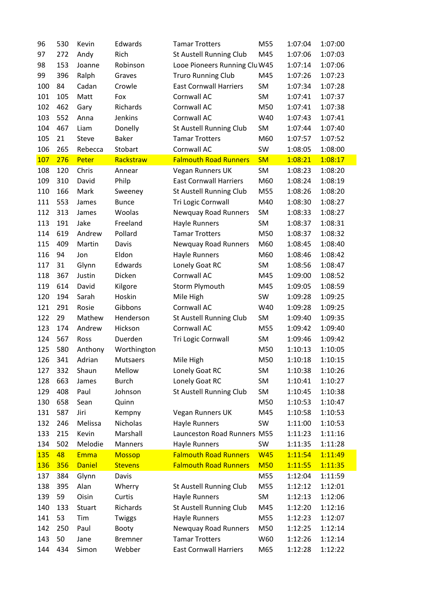| 96         | 530 | Kevin         | Edwards         | <b>Tamar Trotters</b>          | M55        | 1:07:04 | 1:07:00 |
|------------|-----|---------------|-----------------|--------------------------------|------------|---------|---------|
| 97         | 272 | Andy          | Rich            | St Austell Running Club        | M45        | 1:07:06 | 1:07:03 |
| 98         | 153 | Joanne        | Robinson        | Looe Pioneers Running Clu W45  |            | 1:07:14 | 1:07:06 |
| 99         | 396 | Ralph         | Graves          | <b>Truro Running Club</b>      | M45        | 1:07:26 | 1:07:23 |
| 100        | 84  | Cadan         | Crowle          | <b>East Cornwall Harriers</b>  | <b>SM</b>  | 1:07:34 | 1:07:28 |
| 101        | 105 | Matt          | Fox             | Cornwall AC                    | SM         | 1:07:41 | 1:07:37 |
| 102        | 462 | Gary          | Richards        | Cornwall AC                    | M50        | 1:07:41 | 1:07:38 |
| 103        | 552 | Anna          | Jenkins         | Cornwall AC                    | W40        | 1:07:43 | 1:07:41 |
| 104        | 467 | Liam          | Donelly         | St Austell Running Club        | SM         | 1:07:44 | 1:07:40 |
| 105        | 21  | Steve         | <b>Baker</b>    | <b>Tamar Trotters</b>          | M60        | 1:07:57 | 1:07:52 |
| 106        | 265 | Rebecca       | Stobart         | Cornwall AC                    | SW         | 1:08:05 | 1:08:00 |
| 107        | 276 | Peter         | Rackstraw       | <b>Falmouth Road Runners</b>   | <b>SM</b>  | 1:08:21 | 1:08:17 |
| 108        | 120 | Chris         | Annear          | Vegan Runners UK               | SM         | 1:08:23 | 1:08:20 |
| 109        | 310 | David         | Philp           | <b>East Cornwall Harriers</b>  | M60        | 1:08:24 | 1:08:19 |
| 110        | 166 | Mark          | Sweeney         | St Austell Running Club        | M55        | 1:08:26 | 1:08:20 |
| 111        | 553 | James         | <b>Bunce</b>    | Tri Logic Cornwall             | M40        | 1:08:30 | 1:08:27 |
| 112        | 313 | James         | Woolas          | <b>Newquay Road Runners</b>    | <b>SM</b>  | 1:08:33 | 1:08:27 |
| 113        | 191 | Jake          | Freeland        | Hayle Runners                  | SM         | 1:08:37 | 1:08:31 |
| 114        | 619 | Andrew        | Pollard         | <b>Tamar Trotters</b>          | M50        | 1:08:37 | 1:08:32 |
| 115        | 409 | Martin        | Davis           | Newquay Road Runners           | M60        | 1:08:45 | 1:08:40 |
| 116        | 94  | Jon           | Eldon           | Hayle Runners                  | M60        | 1:08:46 | 1:08:42 |
| 117        | 31  | Glynn         | Edwards         | Lonely Goat RC                 | SM         | 1:08:56 | 1:08:47 |
| 118        | 367 | Justin        | Dicken          | Cornwall AC                    | M45        | 1:09:00 | 1:08:52 |
| 119        | 614 | David         | Kilgore         | Storm Plymouth                 | M45        | 1:09:05 | 1:08:59 |
| 120        | 194 | Sarah         | Hoskin          | Mile High                      | SW         | 1:09:28 | 1:09:25 |
| 121        | 291 | Rosie         | Gibbons         | Cornwall AC                    | W40        | 1:09:28 | 1:09:25 |
| 122        | 29  | Mathew        | Henderson       | St Austell Running Club        | SM         | 1:09:40 | 1:09:35 |
| 123        | 174 | Andrew        | Hickson         | Cornwall AC                    | M55        | 1:09:42 | 1:09:40 |
| 124        | 567 | Ross          | Duerden         | Tri Logic Cornwall             | SM         | 1:09:46 | 1:09:42 |
| 125        | 580 | Anthony       | Worthington     |                                | M50        | 1:10:13 | 1:10:05 |
| 126        | 341 | Adrian        | <b>Mutsaers</b> | Mile High                      | M50        | 1:10:18 | 1:10:15 |
| 127        | 332 | Shaun         | Mellow          | Lonely Goat RC                 | <b>SM</b>  | 1:10:38 | 1:10:26 |
| 128        | 663 | James         | <b>Burch</b>    | Lonely Goat RC                 | <b>SM</b>  | 1:10:41 | 1:10:27 |
| 129        | 408 | Paul          | Johnson         | <b>St Austell Running Club</b> | <b>SM</b>  | 1:10:45 | 1:10:38 |
| 130        | 658 | Sean          | Quinn           |                                | M50        | 1:10:53 | 1:10:47 |
| 131        | 587 | Jiri          | Kempny          | Vegan Runners UK               | M45        | 1:10:58 | 1:10:53 |
| 132        | 246 | Melissa       | Nicholas        | Hayle Runners                  | SW         | 1:11:00 | 1:10:53 |
| 133        | 215 | Kevin         | Marshall        | Launceston Road Runners M55    |            | 1:11:23 | 1:11:16 |
| 134        | 502 | Melodie       | Manners         | Hayle Runners                  | SW         | 1:11:35 | 1:11:28 |
| <b>135</b> | 48  | <b>Emma</b>   | <b>Mossop</b>   | <b>Falmouth Road Runners</b>   | <b>W45</b> | 1:11:54 | 1:11:49 |
| <b>136</b> | 356 | <b>Daniel</b> | <b>Stevens</b>  | <b>Falmouth Road Runners</b>   | <b>M50</b> | 1:11:55 | 1:11:35 |
| 137        | 384 | Glynn         | Davis           |                                | M55        | 1:12:04 | 1:11:59 |
| 138        | 395 | Alan          | Wherry          | St Austell Running Club        | M55        | 1:12:12 | 1:12:01 |
| 139        | 59  | Oisin         | Curtis          | Hayle Runners                  | SM         | 1:12:13 | 1:12:06 |
| 140        | 133 | Stuart        | Richards        | St Austell Running Club        | M45        | 1:12:20 | 1:12:16 |
| 141        | 53  | Tim           | Twiggs          | Hayle Runners                  | M55        | 1:12:23 | 1:12:07 |
| 142        | 250 | Paul          | Booty           | <b>Newquay Road Runners</b>    | M50        | 1:12:25 | 1:12:14 |
| 143        | 50  | Jane          | <b>Bremner</b>  | <b>Tamar Trotters</b>          | W60        | 1:12:26 | 1:12:14 |
| 144        | 434 | Simon         | Webber          | <b>East Cornwall Harriers</b>  | M65        | 1:12:28 | 1:12:22 |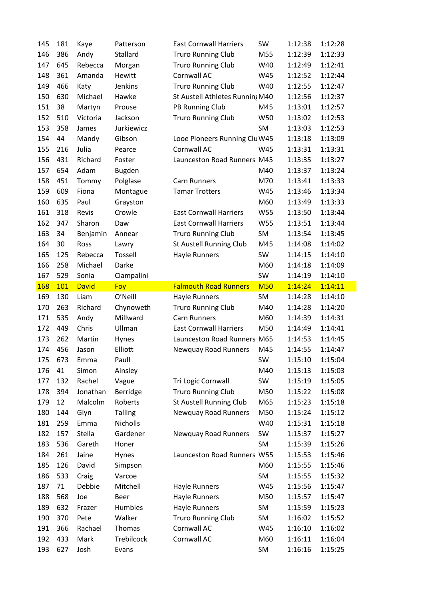| 145 | 181 | Kaye         | Patterson      | <b>East Cornwall Harriers</b>   | SW         | 1:12:38 | 1:12:28 |
|-----|-----|--------------|----------------|---------------------------------|------------|---------|---------|
| 146 | 386 | Andy         | Stallard       | <b>Truro Running Club</b>       | M55        | 1:12:39 | 1:12:33 |
| 147 | 645 | Rebecca      | Morgan         | <b>Truro Running Club</b>       | W40        | 1:12:49 | 1:12:41 |
| 148 | 361 | Amanda       | Hewitt         | Cornwall AC                     | W45        | 1:12:52 | 1:12:44 |
| 149 | 466 | Katy         | Jenkins        | <b>Truro Running Club</b>       | W40        | 1:12:55 | 1:12:47 |
| 150 | 630 | Michael      | Hawke          | St Austell Athletes Runnin; M40 |            | 1:12:56 | 1:12:37 |
| 151 | 38  | Martyn       | Prouse         | PB Running Club                 | M45        | 1:13:01 | 1:12:57 |
| 152 | 510 | Victoria     | Jackson        | <b>Truro Running Club</b>       | W50        | 1:13:02 | 1:12:53 |
| 153 | 358 | James        | Jurkiewicz     |                                 | SM         | 1:13:03 | 1:12:53 |
| 154 | 44  | Mandy        | Gibson         | Looe Pioneers Running Clu W45   |            | 1:13:18 | 1:13:09 |
| 155 | 216 | Julia        | Pearce         | Cornwall AC                     | W45        | 1:13:31 | 1:13:31 |
| 156 | 431 | Richard      | Foster         | Launceston Road Runners M45     |            | 1:13:35 | 1:13:27 |
| 157 | 654 | Adam         | <b>Bugden</b>  |                                 | M40        | 1:13:37 | 1:13:24 |
| 158 | 451 | Tommy        | Polglase       | <b>Carn Runners</b>             | M70        | 1:13:41 | 1:13:33 |
| 159 | 609 | Fiona        | Montague       | <b>Tamar Trotters</b>           | W45        | 1:13:46 | 1:13:34 |
| 160 | 635 | Paul         | Grayston       |                                 | M60        | 1:13:49 | 1:13:33 |
| 161 | 318 | Revis        | Crowle         | <b>East Cornwall Harriers</b>   | W55        | 1:13:50 | 1:13:44 |
| 162 | 347 | Sharon       | Daw            | <b>East Cornwall Harriers</b>   | W55        | 1:13:51 | 1:13:44 |
| 163 | 34  | Benjamin     | Annear         | <b>Truro Running Club</b>       | SM         | 1:13:54 | 1:13:45 |
| 164 | 30  | Ross         | Lawry          | St Austell Running Club         | M45        | 1:14:08 | 1:14:02 |
| 165 | 125 | Rebecca      | Tossell        | Hayle Runners                   | SW         | 1:14:15 | 1:14:10 |
| 166 | 258 | Michael      | Darke          |                                 | M60        | 1:14:18 | 1:14:09 |
| 167 | 529 | Sonia        | Ciampalini     |                                 | SW         | 1:14:19 | 1:14:10 |
| 168 | 101 | <b>David</b> | Foy            | <b>Falmouth Road Runners</b>    | <b>M50</b> | 1:14:24 | 1:14:11 |
|     |     | Liam         | O'Neill        |                                 | SM         | 1:14:28 |         |
| 169 | 130 |              |                | Hayle Runners                   |            |         | 1:14:10 |
| 170 | 263 | Richard      | Chynoweth      | <b>Truro Running Club</b>       | M40        | 1:14:28 | 1:14:20 |
| 171 | 535 | Andy         | Millward       | <b>Carn Runners</b>             | M60        | 1:14:39 | 1:14:31 |
| 172 | 449 | Chris        | Ullman         | <b>East Cornwall Harriers</b>   | M50        | 1:14:49 | 1:14:41 |
| 173 | 262 | Martin       | Hynes          | Launceston Road Runners M65     |            | 1:14:53 | 1:14:45 |
| 174 | 456 | Jason        | Elliott        | <b>Newquay Road Runners</b>     | M45        | 1:14:55 | 1:14:47 |
| 175 | 673 | Emma         | Paull          |                                 | SW         | 1:15:10 | 1:15:04 |
| 176 | 41  | Simon        | Ainsley        |                                 | M40        | 1:15:13 | 1:15:03 |
| 177 | 132 | Rachel       | Vague          | Tri Logic Cornwall              | SW         | 1:15:19 | 1:15:05 |
| 178 | 394 | Jonathan     | Berridge       | <b>Truro Running Club</b>       | M50        | 1:15:22 | 1:15:08 |
| 179 | 12  | Malcolm      | Roberts        | St Austell Running Club         | M65        | 1:15:23 | 1:15:18 |
| 180 | 144 | Glyn         | <b>Talling</b> | Newquay Road Runners            | M50        | 1:15:24 | 1:15:12 |
| 181 | 259 | Emma         | Nicholls       |                                 | W40        | 1:15:31 | 1:15:18 |
| 182 | 157 | Stella       | Gardener       | Newquay Road Runners            | SW         | 1:15:37 | 1:15:27 |
| 183 | 536 | Gareth       | Honer          |                                 | SM         | 1:15:39 | 1:15:26 |
| 184 | 261 | Jaine        | Hynes          | Launceston Road Runners W55     |            | 1:15:53 | 1:15:46 |
| 185 | 126 | David        | Simpson        |                                 | M60        | 1:15:55 | 1:15:46 |
| 186 | 533 | Craig        | Varcoe         |                                 | SM         | 1:15:55 | 1:15:32 |
| 187 | 71  | Debbie       | Mitchell       | Hayle Runners                   | W45        | 1:15:56 | 1:15:47 |
| 188 | 568 | Joe          | Beer           | Hayle Runners                   | M50        | 1:15:57 | 1:15:47 |
| 189 | 632 | Frazer       | Humbles        | Hayle Runners                   | SM         | 1:15:59 | 1:15:23 |
| 190 | 370 | Pete         | Walker         | <b>Truro Running Club</b>       | SM         | 1:16:02 | 1:15:52 |
| 191 | 366 | Rachael      | Thomas         | Cornwall AC                     | W45        | 1:16:10 | 1:16:02 |
| 192 | 433 | Mark         | Trebilcock     | Cornwall AC                     | M60        | 1:16:11 | 1:16:04 |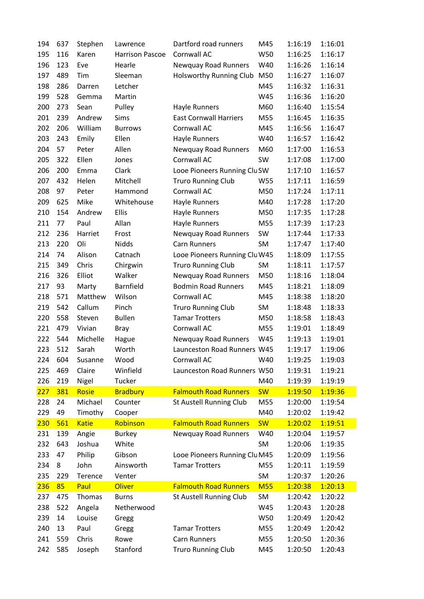| 194 | 637 | Stephen      | Lawrence               | Dartford road runners         | M45        | 1:16:19 | 1:16:01 |
|-----|-----|--------------|------------------------|-------------------------------|------------|---------|---------|
| 195 | 116 | Karen        | <b>Harrison Pascoe</b> | Cornwall AC                   | W50        | 1:16:25 | 1:16:17 |
| 196 | 123 | Eve          | Hearle                 | Newquay Road Runners          | W40        | 1:16:26 | 1:16:14 |
| 197 | 489 | Tim          | Sleeman                | Holsworthy Running Club       | M50        | 1:16:27 | 1:16:07 |
| 198 | 286 | Darren       | Letcher                |                               | M45        | 1:16:32 | 1:16:31 |
| 199 | 528 | Gemma        | Martin                 |                               | W45        | 1:16:36 | 1:16:20 |
| 200 | 273 | Sean         | Pulley                 | Hayle Runners                 | M60        | 1:16:40 | 1:15:54 |
| 201 | 239 | Andrew       | Sims                   | <b>East Cornwall Harriers</b> | M55        | 1:16:45 | 1:16:35 |
| 202 | 206 | William      | <b>Burrows</b>         | Cornwall AC                   | M45        | 1:16:56 | 1:16:47 |
| 203 | 243 | Emily        | Ellen                  | Hayle Runners                 | W40        | 1:16:57 | 1:16:42 |
| 204 | 57  | Peter        | Allen                  | Newquay Road Runners          | M60        | 1:17:00 | 1:16:53 |
| 205 | 322 | Ellen        | Jones                  | Cornwall AC                   | SW         | 1:17:08 | 1:17:00 |
| 206 | 200 | Emma         | Clark                  | Looe Pioneers Running Clu SW  |            | 1:17:10 | 1:16:57 |
| 207 | 432 | Helen        | Mitchell               | <b>Truro Running Club</b>     | W55        | 1:17:11 | 1:16:59 |
| 208 | 97  | Peter        | Hammond                | Cornwall AC                   | M50        | 1:17:24 | 1:17:11 |
| 209 | 625 | Mike         | Whitehouse             | Hayle Runners                 | M40        | 1:17:28 | 1:17:20 |
| 210 | 154 | Andrew       | Ellis                  | Hayle Runners                 | M50        | 1:17:35 | 1:17:28 |
| 211 | 77  | Paul         | Allan                  | Hayle Runners                 | M55        | 1:17:39 | 1:17:23 |
| 212 | 236 | Harriet      | Frost                  | Newquay Road Runners          | SW         | 1:17:44 | 1:17:33 |
| 213 | 220 | Oli          | Nidds                  | Carn Runners                  | SM         | 1:17:47 | 1:17:40 |
| 214 | 74  | Alison       | Catnach                | Looe Pioneers Running Clu W45 |            | 1:18:09 | 1:17:55 |
| 215 | 349 | Chris        | Chirgwin               | <b>Truro Running Club</b>     | SM         | 1:18:11 | 1:17:57 |
| 216 | 326 | Elliot       | Walker                 | Newquay Road Runners          | M50        | 1:18:16 | 1:18:04 |
| 217 | 93  | Marty        | Barnfield              | <b>Bodmin Road Runners</b>    | M45        | 1:18:21 | 1:18:09 |
| 218 | 571 | Matthew      | Wilson                 | Cornwall AC                   | M45        | 1:18:38 | 1:18:20 |
| 219 | 542 | Callum       | Pinch                  | <b>Truro Running Club</b>     | SM         | 1:18:48 | 1:18:33 |
| 220 | 558 | Steven       | <b>Bullen</b>          | <b>Tamar Trotters</b>         | M50        | 1:18:58 | 1:18:43 |
| 221 | 479 | Vivian       | <b>Bray</b>            | Cornwall AC                   | M55        | 1:19:01 | 1:18:49 |
| 222 | 544 | Michelle     | Hague                  | Newquay Road Runners          | W45        | 1:19:13 | 1:19:01 |
| 223 | 512 | Sarah        | Worth                  | Launceston Road Runners W45   |            | 1:19:17 | 1:19:06 |
| 224 | 604 | Susanne      | Wood                   | Cornwall AC                   | W40        | 1:19:25 | 1:19:03 |
| 225 | 469 | Claire       | Winfield               | Launceston Road Runners W50   |            | 1:19:31 | 1:19:21 |
| 226 | 219 | Nigel        | Tucker                 |                               | M40        | 1:19:39 | 1:19:19 |
| 227 | 381 | Rosie        | <b>Bradbury</b>        | <b>Falmouth Road Runners</b>  | <b>SW</b>  | 1:19:50 | 1:19:36 |
| 228 | 24  | Michael      | Counter                | St Austell Running Club       | M55        | 1:20:00 | 1:19:54 |
| 229 | 49  | Timothy      | Cooper                 |                               | M40        | 1:20:02 | 1:19:42 |
| 230 | 561 | <b>Katie</b> | Robinson               | <b>Falmouth Road Runners</b>  | <b>SW</b>  | 1:20:02 | 1:19:51 |
| 231 | 139 | Angie        | <b>Burkey</b>          | Newquay Road Runners          | W40        | 1:20:04 | 1:19:57 |
| 232 | 643 | Joshua       | White                  |                               | <b>SM</b>  | 1:20:06 | 1:19:35 |
| 233 | 47  | Philip       | Gibson                 | Looe Pioneers Running Clu M45 |            | 1:20:09 | 1:19:56 |
| 234 | 8   | John         | Ainsworth              | <b>Tamar Trotters</b>         | M55        | 1:20:11 | 1:19:59 |
| 235 | 229 | Terence      | Venter                 |                               | <b>SM</b>  | 1:20:37 | 1:20:26 |
| 236 | 85  | Paul         | Oliver                 | <b>Falmouth Road Runners</b>  | <b>M55</b> | 1:20:38 | 1:20:13 |
| 237 | 475 | Thomas       | <b>Burns</b>           | St Austell Running Club       | SM         | 1:20:42 | 1:20:22 |
| 238 | 522 | Angela       | Netherwood             |                               | W45        | 1:20:43 | 1:20:28 |
| 239 | 14  | Louise       | Gregg                  |                               | W50        | 1:20:49 | 1:20:42 |
| 240 | 13  | Paul         | Gregg                  | <b>Tamar Trotters</b>         | M55        | 1:20:49 | 1:20:42 |
| 241 | 559 | Chris        | Rowe                   | <b>Carn Runners</b>           | M55        | 1:20:50 | 1:20:36 |
| 242 | 585 | Joseph       | Stanford               | <b>Truro Running Club</b>     | M45        | 1:20:50 | 1:20:43 |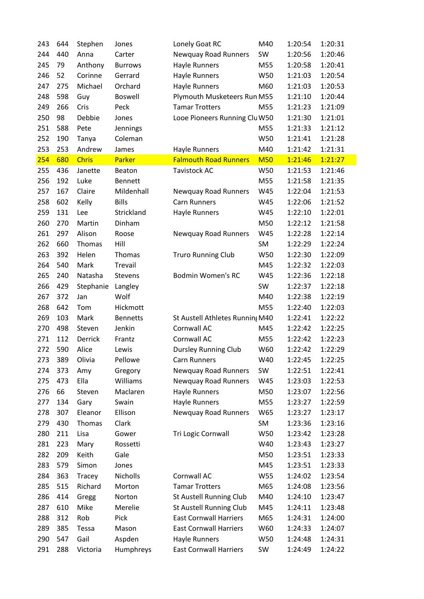| 243 | 644 | Stephen      | Jones           | Lonely Goat RC                  | M40        | 1:20:54 | 1:20:31 |
|-----|-----|--------------|-----------------|---------------------------------|------------|---------|---------|
| 244 | 440 | Anna         | Carter          | Newquay Road Runners            | SW         | 1:20:56 | 1:20:46 |
| 245 | 79  | Anthony      | <b>Burrows</b>  | Hayle Runners                   | M55        | 1:20:58 | 1:20:41 |
| 246 | 52  | Corinne      | Gerrard         | Hayle Runners                   | W50        | 1:21:03 | 1:20:54 |
| 247 | 275 | Michael      | Orchard         | Hayle Runners                   | M60        | 1:21:03 | 1:20:53 |
| 248 | 598 | Guy          | <b>Boswell</b>  | Plymouth Musketeers Run M55     |            | 1:21:10 | 1:20:44 |
| 249 | 266 | Cris         | Peck            | <b>Tamar Trotters</b>           | M55        | 1:21:23 | 1:21:09 |
| 250 | 98  | Debbie       | Jones           | Looe Pioneers Running Clu W50   |            | 1:21:30 | 1:21:01 |
| 251 | 588 | Pete         | Jennings        |                                 | M55        | 1:21:33 | 1:21:12 |
| 252 | 190 | Tanya        | Coleman         |                                 | W50        | 1:21:41 | 1:21:28 |
| 253 | 253 | Andrew       | James           | Hayle Runners                   | M40        | 1:21:42 | 1:21:31 |
| 254 | 680 | <b>Chris</b> | Parker          | <b>Falmouth Road Runners</b>    | <b>M50</b> | 1:21:46 | 1:21:27 |
| 255 | 436 | Janette      | Beaton          | <b>Tavistock AC</b>             | W50        | 1:21:53 | 1:21:46 |
| 256 | 192 | Luke         | <b>Bennett</b>  |                                 | M55        | 1:21:58 | 1:21:35 |
| 257 | 167 | Claire       | Mildenhall      | <b>Newquay Road Runners</b>     | W45        | 1:22:04 | 1:21:53 |
| 258 | 602 | Kelly        | <b>Bills</b>    | Carn Runners                    | W45        | 1:22:06 | 1:21:52 |
| 259 | 131 | Lee          | Strickland      | Hayle Runners                   | W45        | 1:22:10 | 1:22:01 |
| 260 | 270 | Martin       | Dinham          |                                 | M50        | 1:22:12 | 1:21:58 |
| 261 | 297 | Alison       | Roose           | <b>Newquay Road Runners</b>     | W45        | 1:22:28 | 1:22:14 |
| 262 | 660 | Thomas       | Hill            |                                 | <b>SM</b>  | 1:22:29 | 1:22:24 |
| 263 | 392 | Helen        | Thomas          | <b>Truro Running Club</b>       | W50        | 1:22:30 | 1:22:09 |
| 264 | 540 | Mark         | Trevail         |                                 | M45        | 1:22:32 | 1:22:03 |
| 265 | 240 | Natasha      | Stevens         | Bodmin Women's RC               | W45        | 1:22:36 | 1:22:18 |
| 266 | 429 | Stephanie    | Langley         |                                 | SW         | 1:22:37 | 1:22:18 |
| 267 | 372 | Jan          | Wolf            |                                 | M40        | 1:22:38 | 1:22:19 |
| 268 | 642 | Tom          | Hickmott        |                                 | M55        | 1:22:40 | 1:22:03 |
| 269 | 103 | Mark         | <b>Bennetts</b> | St Austell Athletes Running M40 |            | 1:22:41 | 1:22:22 |
| 270 | 498 | Steven       | Jenkin          | Cornwall AC                     | M45        | 1:22:42 | 1:22:25 |
| 271 | 112 | Derrick      | Frantz          | Cornwall AC                     | M55        | 1:22:42 | 1:22:23 |
| 272 | 590 | Alice        | Lewis           | <b>Dursley Running Club</b>     | W60        | 1:22:42 | 1:22:29 |
| 273 | 389 | Olivia       | Pellowe         | Carn Runners                    | W40        | 1:22:45 | 1:22:25 |
| 274 | 373 | Amy          | Gregory         | Newquay Road Runners            | SW         | 1:22:51 | 1:22:41 |
| 275 | 473 | Ella         | Williams        | Newquay Road Runners            | W45        | 1:23:03 | 1:22:53 |
| 276 | 66  | Steven       | Maclaren        | Hayle Runners                   | M50        | 1:23:07 | 1:22:56 |
| 277 | 134 | Gary         | Swain           | Hayle Runners                   | M55        | 1:23:27 | 1:22:59 |
| 278 | 307 | Eleanor      | Ellison         | Newquay Road Runners            | W65        | 1:23:27 | 1:23:17 |
| 279 | 430 | Thomas       | Clark           |                                 | SM         | 1:23:36 | 1:23:16 |
| 280 | 211 | Lisa         | Gower           | Tri Logic Cornwall              | W50        | 1:23:42 | 1:23:28 |
| 281 | 223 | Mary         | Rossetti        |                                 | W40        | 1:23:43 | 1:23:27 |
| 282 | 209 | Keith        | Gale            |                                 | M50        | 1:23:51 | 1:23:33 |
| 283 | 579 | Simon        | Jones           |                                 | M45        | 1:23:51 | 1:23:33 |
| 284 | 363 | Tracey       | Nicholls        | Cornwall AC                     | W55        | 1:24:02 | 1:23:54 |
| 285 | 515 | Richard      | Morton          | <b>Tamar Trotters</b>           | M65        | 1:24:08 | 1:23:56 |
| 286 | 414 | Gregg        | Norton          | St Austell Running Club         | M40        | 1:24:10 | 1:23:47 |
| 287 | 610 | Mike         | Merelie         | St Austell Running Club         | M45        | 1:24:11 | 1:23:48 |
| 288 | 312 | Rob          | Pick            | <b>East Cornwall Harriers</b>   | M65        | 1:24:31 | 1:24:00 |
| 289 | 385 | Tessa        | Mason           | <b>East Cornwall Harriers</b>   | W60        | 1:24:33 | 1:24:07 |
| 290 | 547 | Gail         | Aspden          | Hayle Runners                   | W50        | 1:24:48 | 1:24:31 |
| 291 | 288 | Victoria     | Humphreys       | <b>East Cornwall Harriers</b>   | SW         | 1:24:49 | 1:24:22 |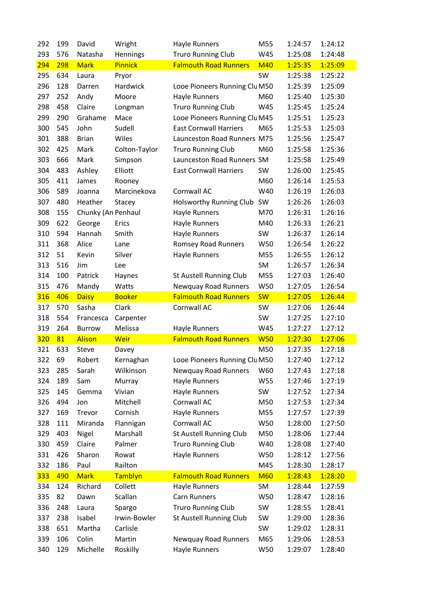| 292 | 199 | David              | Wright             | Hayle Runners                        | M55        | 1:24:57 | 1:24:12 |
|-----|-----|--------------------|--------------------|--------------------------------------|------------|---------|---------|
| 293 | 576 | Natasha            | Hennings           | <b>Truro Running Club</b>            | W45        | 1:25:08 | 1:24:48 |
| 294 | 298 | <b>Mark</b>        | <b>Pinnick</b>     | <b>Falmouth Road Runners</b>         | <b>M40</b> | 1:25:35 | 1:25:09 |
| 295 | 634 | Laura              | Pryor              |                                      | SW         | 1:25:38 | 1:25:22 |
| 296 | 128 | Darren             | Hardwick           | Looe Pioneers Running Clu M50        |            | 1:25:39 | 1:25:09 |
| 297 | 252 | Andy               | Moore              | Hayle Runners                        | M60        | 1:25:40 | 1:25:30 |
| 298 | 458 | Claire             | Longman            | <b>Truro Running Club</b>            | W45        | 1:25:45 | 1:25:24 |
| 299 | 290 | Grahame            | Mace               | Looe Pioneers Running Clu M45        |            | 1:25:51 | 1:25:23 |
| 300 | 545 | John               | Sudell             | <b>East Cornwall Harriers</b>        | M65        | 1:25:53 | 1:25:03 |
| 301 | 388 | <b>Brian</b>       | Wiles              | Launceston Road Runners M75          |            | 1:25:56 | 1:25:47 |
| 302 | 425 | Mark               | Colton-Taylor      | <b>Truro Running Club</b>            | M60        | 1:25:58 | 1:25:36 |
| 303 | 666 | Mark               | Simpson            | Launceston Road Runners SM           |            | 1:25:58 | 1:25:49 |
| 304 | 483 | Ashley             | Elliott            | <b>East Cornwall Harriers</b>        | SW         | 1:26:00 | 1:25:45 |
| 305 | 411 | James              | Rooney             |                                      | M60        | 1:26:14 | 1:25:53 |
| 306 | 589 | Joanna             | Marcinekova        | Cornwall AC                          | W40        | 1:26:19 | 1:26:03 |
| 307 | 480 | Heather            | Stacey             | Holsworthy Running Club              | SW         | 1:26:26 | 1:26:03 |
| 308 | 155 | Chunky (An Penhaul |                    | Hayle Runners                        | M70        | 1:26:31 | 1:26:16 |
| 309 | 622 | George             | Erics              | Hayle Runners                        | M40        | 1:26:33 | 1:26:21 |
| 310 | 594 | Hannah             | Smith              | Hayle Runners                        | SW         | 1:26:37 | 1:26:14 |
| 311 | 368 | Alice              | Lane               | <b>Romsey Road Runners</b>           | W50        | 1:26:54 | 1:26:22 |
| 312 | 51  | Kevin              | Silver             | Hayle Runners                        | M55        | 1:26:55 | 1:26:12 |
| 313 | 516 | Jim                | Lee                |                                      | SM         | 1:26:57 | 1:26:34 |
| 314 | 100 | Patrick            | Haynes             | St Austell Running Club              | M55        | 1:27:03 | 1:26:40 |
| 315 | 476 | Mandy              | Watts              | Newquay Road Runners                 | W50        | 1:27:05 | 1:26:54 |
|     |     |                    |                    |                                      |            |         |         |
| 316 | 406 | <b>Daisy</b>       | <b>Booker</b>      | <b>Falmouth Road Runners</b>         | <b>SW</b>  | 1:27:05 | 1:26:44 |
| 317 | 570 | Sasha              | Clark              | Cornwall AC                          | SW         | 1:27:06 | 1:26:44 |
| 318 | 554 | Francesca          | Carpenter          |                                      | SW         | 1:27:25 | 1:27:10 |
| 319 | 264 | <b>Burrow</b>      | Melissa            | Hayle Runners                        | W45        | 1:27:27 | 1:27:12 |
| 320 | 81  | <b>Alison</b>      | Weir               | <b>Falmouth Road Runners</b>         | <b>W50</b> | 1:27:30 | 1:27:06 |
| 321 | 633 | <b>Steve</b>       | Davey              |                                      | M50        | 1:27:35 | 1:27:18 |
| 322 | 69  | Robert             | Kernaghan          | Looe Pioneers Running Clu M50        |            | 1:27:40 | 1:27:12 |
| 323 | 285 | Sarah              | Wilkinson          | Newquay Road Runners                 | W60        | 1:27:43 | 1:27:18 |
| 324 | 189 | Sam                | Murray             | Hayle Runners                        | W55        | 1:27:46 | 1:27:19 |
| 325 | 145 | Gemma              | Vivian             | Hayle Runners                        | SW         | 1:27:52 | 1:27:34 |
| 326 | 494 | Jon                | Mitchell           | Cornwall AC                          | M50        | 1:27:53 | 1:27:34 |
| 327 | 169 | Trevor             | Cornish            | <b>Hayle Runners</b>                 | M55        | 1:27:57 | 1:27:39 |
| 328 | 111 | Miranda            | Flannigan          | Cornwall AC                          | W50        | 1:28:00 | 1:27:50 |
| 329 | 403 | Nigel              | Marshall           | St Austell Running Club              | M50        | 1:28:06 | 1:27:44 |
| 330 | 459 | Claire             | Palmer             | <b>Truro Running Club</b>            | W40        | 1:28:08 | 1:27:40 |
| 331 | 426 | Sharon             | Rowat              | Hayle Runners                        | W50        | 1:28:12 | 1:27:56 |
| 332 | 186 | Paul               |                    |                                      | M45        | 1:28:30 | 1:28:17 |
| 333 | 490 | <b>Mark</b>        | Railton<br>Tamblyn | <b>Falmouth Road Runners</b>         | <b>M60</b> | 1:28:43 | 1:28:20 |
| 334 | 124 | Richard            | Collett            |                                      | SM         | 1:28:44 | 1:27:59 |
| 335 | 82  | Dawn               | Scallan            | Hayle Runners<br><b>Carn Runners</b> | W50        | 1:28:47 | 1:28:16 |
| 336 | 248 | Laura              | Spargo             | <b>Truro Running Club</b>            | SW         | 1:28:55 | 1:28:41 |
| 337 | 238 | Isabel             | Irwin-Bowler       | St Austell Running Club              | SW         | 1:29:00 | 1:28:36 |
| 338 | 651 | Martha             | Carlisle           |                                      | SW         | 1:29:02 | 1:28:31 |
| 339 | 106 | Colin              | Martin             | Newquay Road Runners                 | M65        | 1:29:06 | 1:28:53 |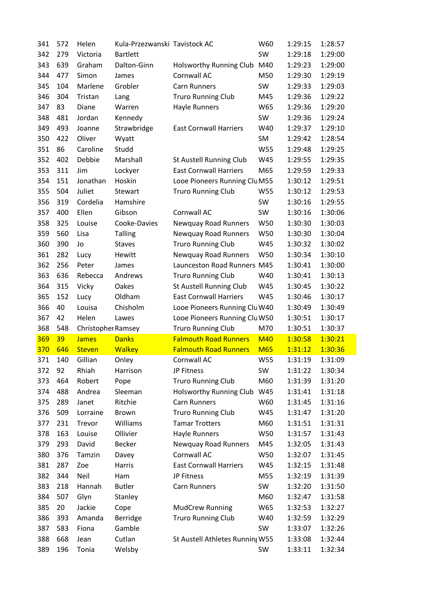| 341 | 572 | Helen              | Kula-Przezwanski Tavistock AC |                                 | W60        | 1:29:15 | 1:28:57 |
|-----|-----|--------------------|-------------------------------|---------------------------------|------------|---------|---------|
| 342 | 279 | Victoria           | <b>Bartlett</b>               |                                 | SW         | 1:29:18 | 1:29:00 |
| 343 | 639 | Graham             | Dalton-Ginn                   | Holsworthy Running Club         | M40        | 1:29:23 | 1:29:00 |
| 344 | 477 | Simon              | James                         | Cornwall AC                     | M50        | 1:29:30 | 1:29:19 |
| 345 | 104 | Marlene            | Grobler                       | <b>Carn Runners</b>             | SW         | 1:29:33 | 1:29:03 |
| 346 | 304 | Tristan            | Lang                          | <b>Truro Running Club</b>       | M45        | 1:29:36 | 1:29:22 |
| 347 | 83  | Diane              | Warren                        | Hayle Runners                   | W65        | 1:29:36 | 1:29:20 |
| 348 | 481 | Jordan             | Kennedy                       |                                 | SW         | 1:29:36 | 1:29:24 |
| 349 | 493 | Joanne             | Strawbridge                   | <b>East Cornwall Harriers</b>   | W40        | 1:29:37 | 1:29:10 |
| 350 | 422 | Oliver             | Wyatt                         |                                 | SM         | 1:29:42 | 1:28:54 |
| 351 | 86  | Caroline           | Studd                         |                                 | W55        | 1:29:48 | 1:29:25 |
| 352 | 402 | Debbie             | Marshall                      | St Austell Running Club         | W45        | 1:29:55 | 1:29:35 |
| 353 | 311 | Jim                | Lockyer                       | <b>East Cornwall Harriers</b>   | M65        | 1:29:59 | 1:29:33 |
| 354 | 151 | Jonathan           | Hoskin                        | Looe Pioneers Running Clu M55   |            | 1:30:12 | 1:29:51 |
| 355 | 504 | Juliet             | Stewart                       | <b>Truro Running Club</b>       | W55        | 1:30:12 | 1:29:53 |
| 356 | 319 | Cordelia           | Hamshire                      |                                 | SW         | 1:30:16 | 1:29:55 |
| 357 | 400 | Ellen              | Gibson                        | Cornwall AC                     | SW         | 1:30:16 | 1:30:06 |
| 358 | 325 | Louise             | Cooke-Davies                  | Newquay Road Runners            | W50        | 1:30:30 | 1:30:03 |
| 359 | 560 | Lisa               | <b>Talling</b>                | Newquay Road Runners            | W50        | 1:30:30 | 1:30:04 |
| 360 | 390 | Jo                 | <b>Staves</b>                 | <b>Truro Running Club</b>       | W45        | 1:30:32 | 1:30:02 |
| 361 | 282 | Lucy               | Hewitt                        | <b>Newquay Road Runners</b>     | W50        | 1:30:34 | 1:30:10 |
| 362 | 256 | Peter              | James                         | Launceston Road Runners M45     |            | 1:30:41 | 1:30:00 |
| 363 | 636 | Rebecca            | Andrews                       | <b>Truro Running Club</b>       | W40        | 1:30:41 | 1:30:13 |
| 364 | 315 | Vicky              | Oakes                         | St Austell Running Club         | W45        | 1:30:45 | 1:30:22 |
| 365 | 152 | Lucy               | Oldham                        | <b>East Cornwall Harriers</b>   | W45        | 1:30:46 | 1:30:17 |
| 366 | 40  | Louisa             | Chisholm                      | Looe Pioneers Running Clu W40   |            | 1:30:49 | 1:30:49 |
| 367 | 42  | Helen              | Lawes                         | Looe Pioneers Running Clu W50   |            | 1:30:51 | 1:30:17 |
| 368 | 548 | Christopher Ramsey |                               | <b>Truro Running Club</b>       | M70        | 1:30:51 | 1:30:37 |
| 369 | 39  | <b>James</b>       | <b>Danks</b>                  | <b>Falmouth Road Runners</b>    | <b>M40</b> | 1:30:58 | 1:30:21 |
| 370 | 646 | <b>Steven</b>      | <b>Walkey</b>                 | <b>Falmouth Road Runners</b>    | <b>M65</b> | 1:31:12 | 1:30:36 |
| 371 | 140 | Gillian            | Onley                         | Cornwall AC                     | W55        | 1:31:19 | 1:31:09 |
| 372 | 92  | Rhiah              | Harrison                      | JP Fitness                      | SW         | 1:31:22 | 1:30:34 |
| 373 | 464 | Robert             | Pope                          |                                 |            |         |         |
| 374 |     |                    |                               | <b>Truro Running Club</b>       | M60        | 1:31:39 | 1:31:20 |
| 375 | 488 | Andrea             | Sleeman                       | Holsworthy Running Club         | W45        | 1:31:41 | 1:31:18 |
|     | 289 | Janet              | Ritchie                       | <b>Carn Runners</b>             | W60        | 1:31:45 | 1:31:16 |
| 376 | 509 | Lorraine           | <b>Brown</b>                  | <b>Truro Running Club</b>       | W45        | 1:31:47 | 1:31:20 |
| 377 | 231 | Trevor             | Williams                      | <b>Tamar Trotters</b>           | M60        | 1:31:51 | 1:31:31 |
| 378 | 163 | Louise             | Ollivier                      | Hayle Runners                   | W50        | 1:31:57 | 1:31:43 |
| 379 | 293 | David              | <b>Becker</b>                 | <b>Newquay Road Runners</b>     | M45        | 1:32:05 | 1:31:43 |
| 380 | 376 | Tamzin             | Davey                         | Cornwall AC                     | W50        | 1:32:07 | 1:31:45 |
| 381 | 287 | Zoe                | Harris                        | <b>East Cornwall Harriers</b>   | W45        | 1:32:15 | 1:31:48 |
| 382 | 344 | Neil               | Ham                           | JP Fitness                      | M55        | 1:32:19 | 1:31:39 |
| 383 | 218 | Hannah             | <b>Butler</b>                 | Carn Runners                    | SW         | 1:32:20 | 1:31:50 |
| 384 | 507 | Glyn               | Stanley                       |                                 | M60        | 1:32:47 | 1:31:58 |
| 385 | 20  | Jackie             | Cope                          | <b>MudCrew Running</b>          | W65        | 1:32:53 | 1:32:27 |
| 386 | 393 | Amanda             | Berridge                      | <b>Truro Running Club</b>       | W40        | 1:32:59 | 1:32:29 |
| 387 | 583 | Fiona              | Gamble                        |                                 | SW         | 1:33:07 | 1:32:26 |
| 388 | 668 | Jean               | Cutlan                        | St Austell Athletes Running W55 |            | 1:33:08 | 1:32:44 |
| 389 | 196 | Tonia              | Welsby                        |                                 | SW         | 1:33:11 | 1:32:34 |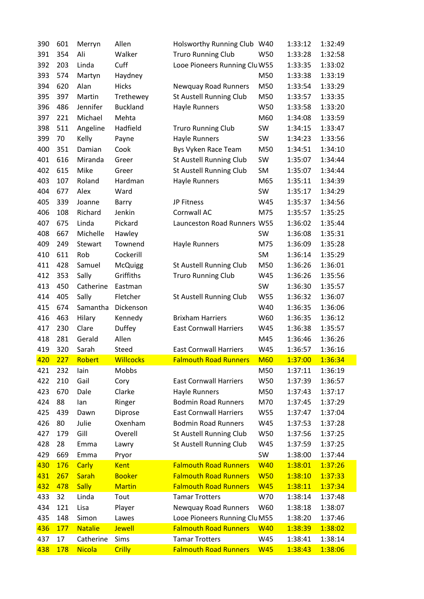| 390 | 601    | Merryn         | Allen           | Holsworthy Running Club W40   |            | 1:33:12 | 1:32:49 |
|-----|--------|----------------|-----------------|-------------------------------|------------|---------|---------|
| 391 | 354    | Ali            | Walker          | <b>Truro Running Club</b>     | W50        | 1:33:28 | 1:32:58 |
| 392 | 203    | Linda          | Cuff            | Looe Pioneers Running Clu W55 |            | 1:33:35 | 1:33:02 |
| 393 | 574    | Martyn         | Haydney         |                               | M50        | 1:33:38 | 1:33:19 |
| 394 | 620    | Alan           | <b>Hicks</b>    | Newquay Road Runners          | M50        | 1:33:54 | 1:33:29 |
| 395 | 397    | Martin         | Trethewey       | St Austell Running Club       | M50        | 1:33:57 | 1:33:35 |
| 396 | 486    | Jennifer       | <b>Buckland</b> | Hayle Runners                 | W50        | 1:33:58 | 1:33:20 |
| 397 | 221    | Michael        | Mehta           |                               | M60        | 1:34:08 | 1:33:59 |
| 398 | 511    | Angeline       | Hadfield        | <b>Truro Running Club</b>     | SW         | 1:34:15 | 1:33:47 |
| 399 | 70     | Kelly          | Payne           | Hayle Runners                 | SW         | 1:34:23 | 1:33:56 |
| 400 | 351    | Damian         | Cook            | Bys Vyken Race Team           | M50        | 1:34:51 | 1:34:10 |
| 401 | 616    | Miranda        | Greer           | St Austell Running Club       | SW         | 1:35:07 | 1:34:44 |
| 402 | 615    | Mike           | Greer           | St Austell Running Club       | SM         | 1:35:07 | 1:34:44 |
| 403 | 107    | Roland         | Hardman         | Hayle Runners                 | M65        | 1:35:11 | 1:34:39 |
| 404 | 677    | Alex           | Ward            |                               | SW         | 1:35:17 | 1:34:29 |
| 405 | 339    | Joanne         | Barry           | JP Fitness                    | W45        | 1:35:37 | 1:34:56 |
| 406 | 108    | Richard        | Jenkin          | Cornwall AC                   | M75        | 1:35:57 | 1:35:25 |
| 407 | 675    | Linda          | Pickard         | Launceston Road Runners W55   |            | 1:36:02 | 1:35:44 |
| 408 | 667    | Michelle       | Hawley          |                               | SW         | 1:36:08 | 1:35:31 |
| 409 | 249    | Stewart        | Townend         | <b>Hayle Runners</b>          | M75        | 1:36:09 | 1:35:28 |
| 410 | 611    | Rob            | Cockerill       |                               | SM         | 1:36:14 | 1:35:29 |
| 411 | 428    | Samuel         | <b>McQuigg</b>  | St Austell Running Club       | M50        | 1:36:26 | 1:36:01 |
| 412 | 353    | Sally          | Griffiths       | <b>Truro Running Club</b>     | W45        | 1:36:26 | 1:35:56 |
| 413 | 450    | Catherine      | Eastman         |                               | SW         | 1:36:30 | 1:35:57 |
| 414 | 405    | Sally          | Fletcher        | St Austell Running Club       | W55        | 1:36:32 | 1:36:07 |
| 415 | 674    | Samantha       | Dickenson       |                               | W40        | 1:36:35 | 1:36:06 |
| 416 | 463    | Hilary         | Kennedy         | <b>Brixham Harriers</b>       | W60        | 1:36:35 | 1:36:12 |
| 417 | 230    | Clare          | Duffey          | <b>East Cornwall Harriers</b> | W45        | 1:36:38 | 1:35:57 |
| 418 | 281    | Gerald         | Allen           |                               | M45        | 1:36:46 | 1:36:26 |
| 419 | 320    | Sarah          | Steed           | <b>East Cornwall Harriers</b> | W45        | 1:36:57 | 1:36:16 |
| 420 | $-227$ | Robert         | Willcocks       | <b>Falmouth Road Runners</b>  | <b>M60</b> | 1:37:00 | 1:36:34 |
| 421 | 232    | lain           | Mobbs           |                               | M50        | 1:37:11 | 1:36:19 |
| 422 | 210    | Gail           | Cory            | <b>East Cornwall Harriers</b> | W50        | 1:37:39 | 1:36:57 |
| 423 | 670    | Dale           | Clarke          | Hayle Runners                 | M50        | 1:37:43 | 1:37:17 |
| 424 | 88     | lan            | Ringer          | <b>Bodmin Road Runners</b>    | M70        | 1:37:45 | 1:37:29 |
| 425 | 439    | Dawn           | Diprose         | <b>East Cornwall Harriers</b> | W55        | 1:37:47 | 1:37:04 |
| 426 | 80     | Julie          | Oxenham         | <b>Bodmin Road Runners</b>    | W45        | 1:37:53 | 1:37:28 |
| 427 | 179    | Gill           | Overell         | St Austell Running Club       | W50        | 1:37:56 | 1:37:25 |
| 428 | 28     | Emma           | Lawry           | St Austell Running Club       | W45        | 1:37:59 | 1:37:25 |
| 429 | 669    | Emma           | Pryor           |                               | SW         | 1:38:00 | 1:37:44 |
| 430 | 176    | <b>Carly</b>   | <b>Kent</b>     | <b>Falmouth Road Runners</b>  | <b>W40</b> | 1:38:01 | 1:37:26 |
| 431 | 267    | Sarah          | <b>Booker</b>   | <b>Falmouth Road Runners</b>  | <b>W50</b> | 1:38:10 | 1:37:33 |
| 432 | 478    | <b>Sally</b>   | <b>Martin</b>   | <b>Falmouth Road Runners</b>  | <b>W45</b> | 1:38:11 | 1:37:34 |
| 433 | 32     | Linda          | Tout            | <b>Tamar Trotters</b>         | W70        | 1:38:14 | 1:37:48 |
| 434 | 121    | Lisa           | Player          | Newquay Road Runners          | W60        | 1:38:18 | 1:38:07 |
| 435 | 148    | Simon          | Lawes           | Looe Pioneers Running Clu M55 |            | 1:38:20 | 1:37:46 |
| 436 | 177    | <b>Natalie</b> | <b>Jewell</b>   | <b>Falmouth Road Runners</b>  | <b>W40</b> | 1:38:39 | 1:38:02 |
| 437 | 17     | Catherine      | Sims            | <b>Tamar Trotters</b>         | W45        | 1:38:41 | 1:38:14 |
| 438 | 178    | <b>Nicola</b>  | Crilly          | <b>Falmouth Road Runners</b>  | <b>W45</b> | 1:38:43 | 1:38:06 |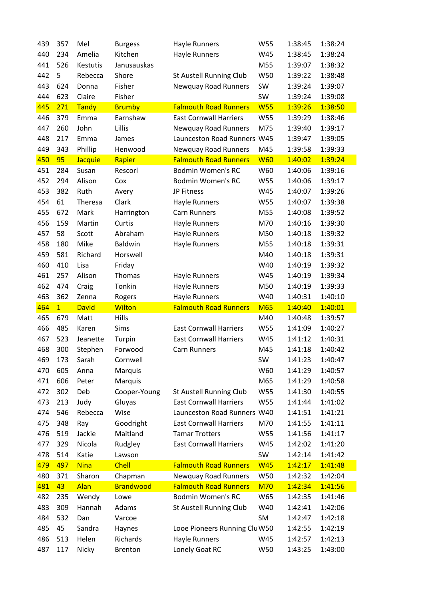| 439 | 357            | Mel          | <b>Burgess</b>   | Hayle Runners                 | W55        | 1:38:45 | 1:38:24 |
|-----|----------------|--------------|------------------|-------------------------------|------------|---------|---------|
| 440 | 234            | Amelia       | Kitchen          | Hayle Runners                 | W45        | 1:38:45 | 1:38:24 |
| 441 | 526            | Kestutis     | Janusauskas      |                               | M55        | 1:39:07 | 1:38:32 |
| 442 | 5              | Rebecca      | Shore            | St Austell Running Club       | W50        | 1:39:22 | 1:38:48 |
| 443 | 624            | Donna        | Fisher           | Newquay Road Runners          | SW         | 1:39:24 | 1:39:07 |
| 444 | 623            | Claire       | Fisher           |                               | SW         | 1:39:24 | 1:39:08 |
| 445 | 271            | Tandy        | <b>Brumby</b>    | <b>Falmouth Road Runners</b>  | <b>W55</b> | 1:39:26 | 1:38:50 |
| 446 | 379            | Emma         | Earnshaw         | <b>East Cornwall Harriers</b> | W55        | 1:39:29 | 1:38:46 |
| 447 | 260            | John         | Lillis           | Newquay Road Runners          | M75        | 1:39:40 | 1:39:17 |
| 448 | 217            | Emma         | James            | Launceston Road Runners W45   |            | 1:39:47 | 1:39:05 |
| 449 | 343            | Phillip      | Henwood          | Newquay Road Runners          | M45        | 1:39:58 | 1:39:33 |
| 450 | 95             | Jacquie      | Rapier           | <b>Falmouth Road Runners</b>  | <b>W60</b> | 1:40:02 | 1:39:24 |
| 451 | 284            | Susan        | Rescorl          | <b>Bodmin Women's RC</b>      | W60        | 1:40:06 | 1:39:16 |
| 452 | 294            | Alison       | Cox              | <b>Bodmin Women's RC</b>      | W55        | 1:40:06 | 1:39:17 |
| 453 | 382            | Ruth         | Avery            | JP Fitness                    | W45        | 1:40:07 | 1:39:26 |
| 454 | 61             | Theresa      | Clark            | Hayle Runners                 | W55        | 1:40:07 | 1:39:38 |
| 455 | 672            | Mark         | Harrington       | <b>Carn Runners</b>           | M55        | 1:40:08 | 1:39:52 |
| 456 | 159            | Martin       | Curtis           | Hayle Runners                 | M70        | 1:40:16 | 1:39:30 |
| 457 | 58             | Scott        | Abraham          | Hayle Runners                 | M50        | 1:40:18 | 1:39:32 |
| 458 | 180            | Mike         | Baldwin          | Hayle Runners                 | M55        | 1:40:18 | 1:39:31 |
| 459 | 581            | Richard      | Horswell         |                               | M40        | 1:40:18 | 1:39:31 |
| 460 | 410            | Lisa         | Friday           |                               | W40        | 1:40:19 | 1:39:32 |
| 461 | 257            | Alison       | Thomas           | Hayle Runners                 | W45        | 1:40:19 | 1:39:34 |
| 462 | 474            | Craig        | Tonkin           | Hayle Runners                 | M50        | 1:40:19 | 1:39:33 |
|     |                |              |                  |                               |            |         |         |
| 463 | 362            | Zenna        | Rogers           | Hayle Runners                 | W40        | 1:40:31 | 1:40:10 |
| 464 | $\overline{1}$ | <b>David</b> | Wilton           | <b>Falmouth Road Runners</b>  | <b>M65</b> | 1:40:40 | 1:40:01 |
| 465 | 679            | Matt         | Hills            |                               | M40        | 1:40:48 | 1:39:57 |
| 466 | 485            | Karen        | Sims             | <b>East Cornwall Harriers</b> | W55        | 1:41:09 | 1:40:27 |
| 467 | 523            | Jeanette     | Turpin           | <b>East Cornwall Harriers</b> | W45        | 1:41:12 | 1:40:31 |
| 468 | 300            | Stephen      | Forwood          | Carn Runners                  | M45        | 1:41:18 | 1:40:42 |
| 469 | 173            | Sarah        | Cornwell         |                               | SW         | 1:41:23 | 1:40:47 |
| 470 | 605            | Anna         | Marquis          |                               | W60        | 1:41:29 | 1:40:57 |
| 471 | 606            | Peter        | Marquis          |                               | M65        | 1:41:29 | 1:40:58 |
| 472 | 302            | Deb          | Cooper-Young     | St Austell Running Club       | W55        | 1:41:30 | 1:40:55 |
| 473 | 213            | Judy         | Gluyas           | <b>East Cornwall Harriers</b> | W55        | 1:41:44 | 1:41:02 |
| 474 | 546            | Rebecca      | Wise             | Launceston Road Runners W40   |            | 1:41:51 | 1:41:21 |
| 475 | 348            | Ray          | Goodright        | <b>East Cornwall Harriers</b> | M70        | 1:41:55 | 1:41:11 |
| 476 | 519            | Jackie       | Maitland         | <b>Tamar Trotters</b>         | W55        | 1:41:56 | 1:41:17 |
| 477 | 329            | Nicola       | Rudgley          | <b>East Cornwall Harriers</b> | W45        | 1:42:02 | 1:41:20 |
| 478 | 514            | Katie        | Lawson           |                               | SW         | 1:42:14 | 1:41:42 |
| 479 | 497            | <b>Nina</b>  | <b>Chell</b>     | <b>Falmouth Road Runners</b>  | <b>W45</b> | 1:42:17 | 1:41:48 |
| 480 | 371            | Sharon       | Chapman          | Newquay Road Runners          | W50        | 1:42:32 | 1:42:04 |
| 481 | 43             | Alan         | <b>Brandwood</b> | <b>Falmouth Road Runners</b>  | <b>M70</b> | 1:42:34 | 1:41:56 |
| 482 | 235            | Wendy        | Lowe             | <b>Bodmin Women's RC</b>      | W65        | 1:42:35 | 1:41:46 |
| 483 | 309            | Hannah       | Adams            | St Austell Running Club       | W40        | 1:42:41 | 1:42:06 |
| 484 | 532            | Dan          | Varcoe           |                               | <b>SM</b>  | 1:42:47 | 1:42:18 |
| 485 | 45             | Sandra       | Haynes           | Looe Pioneers Running Clu W50 |            | 1:42:55 | 1:42:19 |
| 486 | 513            | Helen        | Richards         | Hayle Runners                 | W45        | 1:42:57 | 1:42:13 |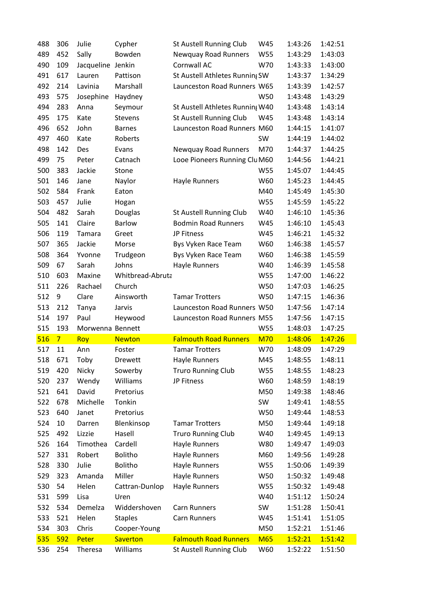| 488 | 306            | Julie             | Cypher           | <b>St Austell Running Club</b>  | W45        | 1:43:26 | 1:42:51 |
|-----|----------------|-------------------|------------------|---------------------------------|------------|---------|---------|
| 489 | 452            | Sally             | Bowden           | Newquay Road Runners            | W55        | 1:43:29 | 1:43:03 |
| 490 | 109            | Jacqueline Jenkin |                  | Cornwall AC                     | W70        | 1:43:33 | 1:43:00 |
| 491 | 617            | Lauren            | Pattison         | St Austell Athletes Running SW  |            | 1:43:37 | 1:34:29 |
| 492 | 214            | Lavinia           | Marshall         | Launceston Road Runners W65     |            | 1:43:39 | 1:42:57 |
| 493 | 575            | Josephine         | Haydney          |                                 | W50        | 1:43:48 | 1:43:29 |
| 494 | 283            | Anna              | Seymour          | St Austell Athletes Running W40 |            | 1:43:48 | 1:43:14 |
| 495 | 175            | Kate              | Stevens          | St Austell Running Club         | W45        | 1:43:48 | 1:43:14 |
| 496 | 652            | John              | <b>Barnes</b>    | Launceston Road Runners M60     |            | 1:44:15 | 1:41:07 |
| 497 | 460            | Kate              | Roberts          |                                 | SW         | 1:44:19 | 1:44:02 |
| 498 | 142            | Des               | Evans            | Newquay Road Runners            | M70        | 1:44:37 | 1:44:25 |
| 499 | 75             | Peter             | Catnach          | Looe Pioneers Running Clu M60   |            | 1:44:56 | 1:44:21 |
| 500 | 383            | Jackie            | Stone            |                                 | W55        | 1:45:07 | 1:44:45 |
| 501 | 146            | Jane              | Naylor           | Hayle Runners                   | W60        | 1:45:23 | 1:44:45 |
| 502 | 584            | Frank             | Eaton            |                                 | M40        | 1:45:49 | 1:45:30 |
| 503 | 457            | Julie             | Hogan            |                                 | W55        | 1:45:59 | 1:45:22 |
| 504 | 482            | Sarah             | Douglas          | <b>St Austell Running Club</b>  | W40        | 1:46:10 | 1:45:36 |
| 505 | 141            | Claire            | <b>Barlow</b>    | <b>Bodmin Road Runners</b>      | W45        | 1:46:10 | 1:45:43 |
| 506 | 119            | Tamara            | Greet            | JP Fitness                      | W45        | 1:46:21 | 1:45:32 |
| 507 | 365            | Jackie            | Morse            | Bys Vyken Race Team             | W60        | 1:46:38 | 1:45:57 |
| 508 | 364            | Yvonne            | Trudgeon         | Bys Vyken Race Team             | W60        | 1:46:38 | 1:45:59 |
| 509 | 67             | Sarah             | Johns            | Hayle Runners                   | W40        | 1:46:39 | 1:45:58 |
| 510 | 603            | Maxine            | Whitbread-Abruta |                                 | W55        | 1:47:00 | 1:46:22 |
| 511 | 226            | Rachael           | Church           |                                 | W50        | 1:47:03 | 1:46:25 |
| 512 | 9              | Clare             | Ainsworth        | <b>Tamar Trotters</b>           | W50        | 1:47:15 | 1:46:36 |
| 513 | 212            | Tanya             | Jarvis           | Launceston Road Runners W50     |            | 1:47:56 | 1:47:14 |
| 514 | 197            | Paul              | Heywood          | Launceston Road Runners M55     |            | 1:47:56 | 1:47:15 |
| 515 | 193            | Morwenna Bennett  |                  |                                 | W55        | 1:48:03 | 1:47:25 |
| 516 | 7 <sup>2</sup> | Roy               | <b>Newton</b>    | <b>Falmouth Road Runners</b>    | <b>M70</b> | 1:48:06 | 1:47:26 |
| 517 | 11             | Ann               | Foster           | <b>Tamar Trotters</b>           | W70        | 1:48:09 | 1:47:29 |
| 518 | 671            | Toby              | Drewett          | Hayle Runners                   | M45        | 1:48:55 | 1:48:11 |
| 519 | 420            | Nicky             | Sowerby          |                                 |            |         |         |
| 520 |                |                   |                  | <b>Truro Running Club</b>       | W55        | 1:48:55 | 1:48:23 |
| 521 | 237            | Wendy             | Williams         | JP Fitness                      | W60        | 1:48:59 | 1:48:19 |
|     | 641            | David             | Pretorius        |                                 | M50        | 1:49:38 | 1:48:46 |
| 522 | 678            | Michelle          | Tonkin           |                                 | SW         | 1:49:41 | 1:48:55 |
| 523 | 640            | Janet             | Pretorius        |                                 | W50        | 1:49:44 | 1:48:53 |
| 524 | 10             | Darren            | Blenkinsop       | <b>Tamar Trotters</b>           | M50        | 1:49:44 | 1:49:18 |
| 525 | 492            | Lizzie            | Hasell           | <b>Truro Running Club</b>       | W40        | 1:49:45 | 1:49:13 |
| 526 | 164            | Timothea          | Cardell          | Hayle Runners                   | W80        | 1:49:47 | 1:49:03 |
| 527 | 331            | Robert            | <b>Bolitho</b>   | Hayle Runners                   | M60        | 1:49:56 | 1:49:28 |
| 528 | 330            | Julie             | Bolitho          | Hayle Runners                   | W55        | 1:50:06 | 1:49:39 |
| 529 | 323            | Amanda            | Miller           | Hayle Runners                   | W50        | 1:50:32 | 1:49:48 |
| 530 | 54             | Helen             | Cattran-Dunlop   | Hayle Runners                   | <b>W55</b> | 1:50:32 | 1:49:48 |
| 531 | 599            | Lisa              | Uren             |                                 | W40        | 1:51:12 | 1:50:24 |
| 532 | 534            | Demelza           | Widdershoven     | Carn Runners                    | SW         | 1:51:28 | 1:50:41 |
| 533 | 521            | Helen             | <b>Staples</b>   | Carn Runners                    | W45        | 1:51:41 | 1:51:05 |
| 534 | 303            | Chris             | Cooper-Young     |                                 | M50        | 1:52:21 | 1:51:46 |
| 535 | 592            | Peter             | <b>Saverton</b>  | <b>Falmouth Road Runners</b>    | <b>M65</b> | 1:52:21 | 1:51:42 |